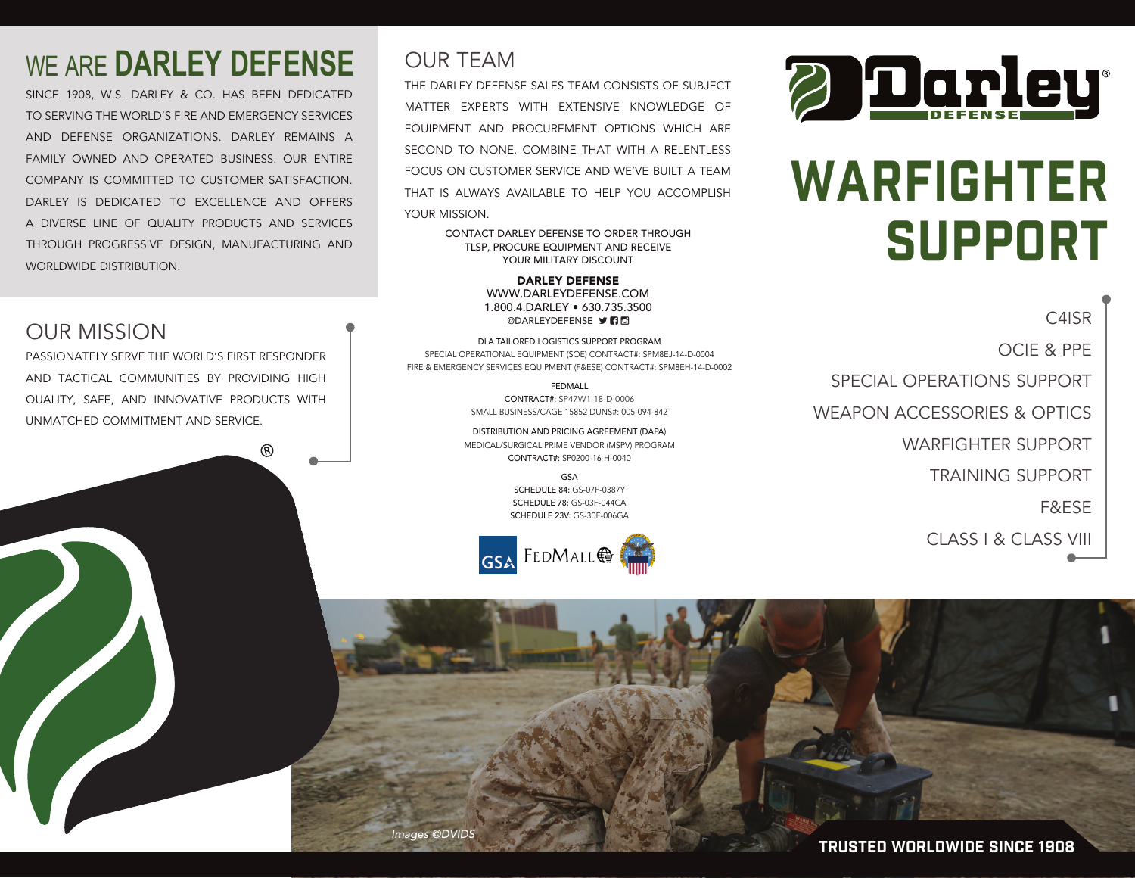### WE ARE **DARLEY DEFENSE**

SINCE 1908, W.S. DARLEY & CO. HAS BEEN DEDICATED TO SERVING THE WORLD'S FIRE AND EMERGENCY SERVICES AND DEFENSE ORGANIZATIONS. DARLEY REMAINS A FAMILY OWNED AND OPERATED BUSINESS. OUR ENTIRE COMPANY IS COMMITTED TO CUSTOMER SATISFACTION. DARLEY IS DEDICATED TO EXCELLENCE AND OFFERS A DIVERSE LINE OF QUALITY PRODUCTS AND SERVICES THROUGH PROGRESSIVE DESIGN, MANUFACTURING AND WORLDWIDE DISTRIBUTION.

#### OUR MISSION

PASSIONATELY SERVE THE WORLD'S FIRST RESPONDER AND TACTICAL COMMUNITIES BY PROVIDING HIGH QUALITY, SAFE, AND INNOVATIVE PRODUCTS WITH UNMATCHED COMMITMENT AND SERVICE.

൫

#### OUR TEAM

THE DARLEY DEFENSE SALES TEAM CONSISTS OF SUBJECT MATTER EXPERTS WITH EXTENSIVE KNOWLEDGE OF EQUIPMENT AND PROCUREMENT OPTIONS WHICH ARE SECOND TO NONE. COMBINE THAT WITH A RELENTLESS FOCUS ON CUSTOMER SERVICE AND WE'VE BUILT A TEAM THAT IS ALWAYS AVAILABLE TO HELP YOU ACCOMPLISH YOUR MISSION.

> CONTACT DARLEY DEFENSE TO ORDER THROUGH TLSP, PROCURE EQUIPMENT AND RECEIVE YOUR MILITARY DISCOUNT

> > DARLEY DEFENSE WWW.DARLEYDEFENSE.COM 1.800.4.DARLEY • 630.735.3500 **@DARLEYDEFENSE DRI**

DLA TAILORED LOGISTICS SUPPORT PROGRAM SPECIAL OPERATIONAL EQUIPMENT (SOE) CONTRACT#: SPM8EJ-14-D-0004 FIRE & EMERGENCY SERVICES EQUIPMENT (F&ESE) CONTRACT#: SPM8EH-14-D-0002

> FEDMALL CONTRACT#: SP47W1-18-D-0006 SMALL BUSINESS/CAGE 15852 DUNS#: 005-094-842

DISTRIBUTION AND PRICING AGREEMENT (DAPA) MEDICAL/SURGICAL PRIME VENDOR (MSPV) PROGRAM CONTRACT#: SP0200-16-H-0040

> GSA SCHEDULE 84: GS-07F-0387Y SCHEDULE 78: GS-03F-044CA SCHEDULE 23V: GS-30F-006GA





## WARFIGHTER SUPPORT

C4ISR OCIE & PPE SPECIAL OPERATIONS SUPPORT WEAPON ACCESSORIES & OPTICS WARFIGHTER SUPPORT TRAINING SUPPORT F&ESE CLASS I & CLASS VIII